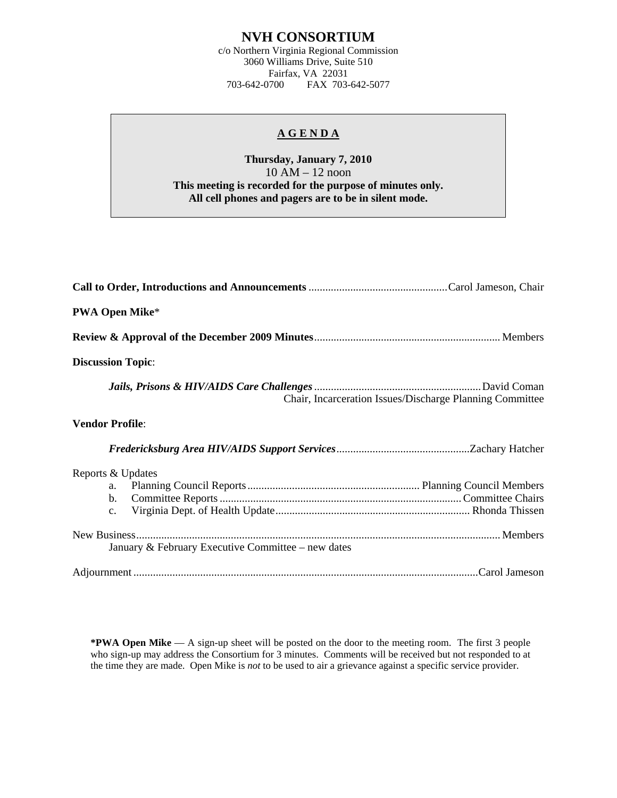## **NVH CONSORTIUM**

c/o Northern Virginia Regional Commission 3060 Williams Drive, Suite 510 Fairfax, VA 22031<br>703-642-0700 FAX 703-FAX 703-642-5077

## **A G E N D A**

## **Thursday, January 7, 2010**  10 AM – 12 noon **This meeting is recorded for the purpose of minutes only. All cell phones and pagers are to be in silent mode.**

| <b>PWA Open Mike*</b>                                       |
|-------------------------------------------------------------|
|                                                             |
| <b>Discussion Topic:</b>                                    |
| Chair, Incarceration Issues/Discharge Planning Committee    |
| <b>Vendor Profile:</b>                                      |
|                                                             |
| Reports & Updates<br>a.<br>$\mathbf{b}$ .<br>$\mathbf{c}$ . |
| January & February Executive Committee – new dates          |
|                                                             |

**\*PWA Open Mike** — A sign-up sheet will be posted on the door to the meeting room. The first 3 people who sign-up may address the Consortium for 3 minutes. Comments will be received but not responded to at the time they are made. Open Mike is *not* to be used to air a grievance against a specific service provider.